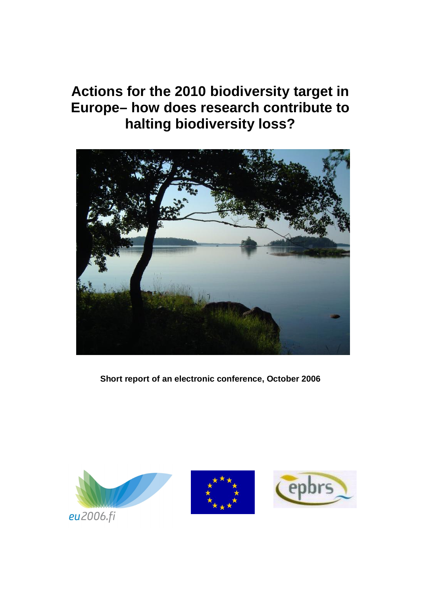# **Actions for the 2010 biodiversity target in Europe– how does research contribute to halting biodiversity loss?**



**Short report of an electronic conference, October 2006**





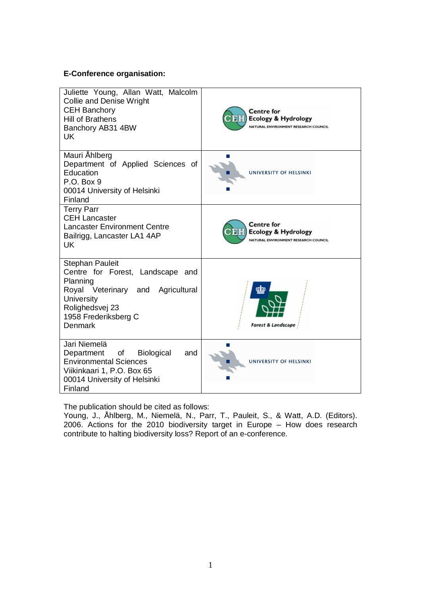#### **E-Conference organisation:**

| Juliette Young, Allan Watt, Malcolm<br><b>Collie and Denise Wright</b><br><b>CEH Banchory</b><br><b>Hill of Brathens</b><br>Banchory AB31 4BW<br><b>UK</b>                             | <b>Centre</b> for<br><b>Ecology &amp; Hydrology</b><br>NATURAL ENVIRONMENT RESEARCH COUNCIL |
|----------------------------------------------------------------------------------------------------------------------------------------------------------------------------------------|---------------------------------------------------------------------------------------------|
| Mauri Ahlberg<br>Department of Applied Sciences of<br>Education<br>P.O. Box 9<br>00014 University of Helsinki<br>Finland                                                               | UNIVERSITY OF HELSINKI                                                                      |
| <b>Terry Parr</b><br><b>CEH Lancaster</b><br><b>Lancaster Environment Centre</b><br>Bailrigg, Lancaster LA1 4AP<br><b>UK</b>                                                           | <b>Centre</b> for<br><b>Ecology &amp; Hydrology</b><br>NATURAL ENVIRONMENT RESEARCH COUNCIL |
| <b>Stephan Pauleit</b><br>Centre for Forest, Landscape and<br>Planning<br>Royal Veterinary and Agricultural<br><b>University</b><br>Rolighedsvej 23<br>1958 Frederiksberg C<br>Denmark | Forest & Landscape                                                                          |
| Jari Niemelä<br>Department of Biological<br>and<br><b>Environmental Sciences</b><br>Viikinkaari 1, P.O. Box 65<br>00014 University of Helsinki<br>Finland                              | UNIVERSITY OF HELSINKI                                                                      |

The publication should be cited as follows:

Young, J., Åhlberg, M., Niemelä, N., Parr, T., Pauleit, S., & Watt, A.D. (Editors). 2006. Actions for the 2010 biodiversity target in Europe – How does research contribute to halting biodiversity loss? Report of an e-conference.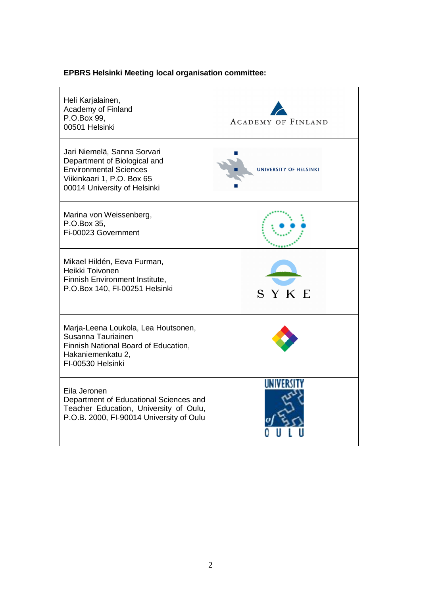## **EPBRS Helsinki Meeting local organisation committee:**

| Heli Karjalainen,<br>Academy of Finland<br>P.O.Box 99,<br>00501 Helsinki                                                                                   | <b>ACADEMY OF FINLAND</b> |
|------------------------------------------------------------------------------------------------------------------------------------------------------------|---------------------------|
| Jari Niemelä, Sanna Sorvari<br>Department of Biological and<br><b>Environmental Sciences</b><br>Viikinkaari 1, P.O. Box 65<br>00014 University of Helsinki | UNIVERSITY OF HELSINKI    |
| Marina von Weissenberg,<br>P.O.Box 35,<br>Fi-00023 Government                                                                                              |                           |
| Mikael Hildén, Eeva Furman,<br>Heikki Toivonen<br>Finnish Environment Institute,<br>P.O.Box 140, FI-00251 Helsinki                                         | SYKE                      |
| Marja-Leena Loukola, Lea Houtsonen,<br>Susanna Tauriainen<br>Finnish National Board of Education,<br>Hakaniemenkatu 2,<br>FI-00530 Helsinki                |                           |
| Eila Jeronen<br>Department of Educational Sciences and<br>Teacher Education, University of Oulu,<br>P.O.B. 2000, FI-90014 University of Oulu               | UNIVERS                   |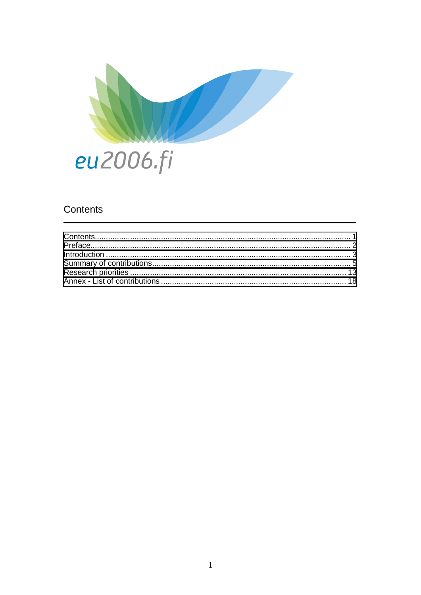

## <span id="page-3-0"></span>Contents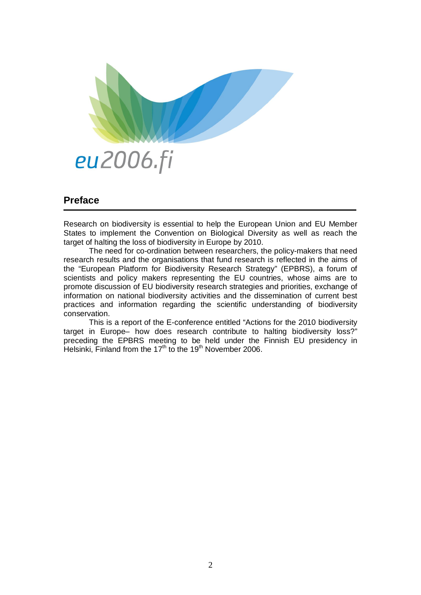

## <span id="page-4-0"></span>**Preface**

Research on biodiversity is essential to help the European Union and EU Member States to implement the Convention on Biological Diversity as well as reach the target of halting the loss of biodiversity in Europe by 2010.

The need for co-ordination between researchers, the policy-makers that need research results and the organisations that fund research is reflected in the aims of the "European Platform for Biodiversity Research Strategy" (EPBRS), a forum of scientists and policy makers representing the EU countries, whose aims are to promote discussion of EU biodiversity research strategies and priorities, exchange of information on national biodiversity activities and the dissemination of current best practices and information regarding the scientific understanding of biodiversity conservation.

This is a report of the E-conference entitled "Actions for the 2010 biodiversity target in Europe– how does research contribute to halting biodiversity loss?" preceding the EPBRS meeting to be held under the Finnish EU presidency in Helsinki, Finland from the 17<sup>th</sup> to the 19<sup>th</sup> November 2006.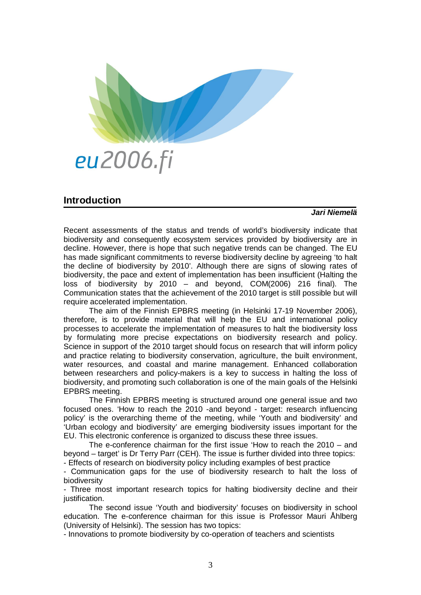

### <span id="page-5-0"></span>**Introduction**

#### *Jari Niemelä*

Recent assessments of the status and trends of world's biodiversity indicate that biodiversity and consequently ecosystem services provided by biodiversity are in decline. However, there is hope that such negative trends can be changed. The EU has made significant commitments to reverse biodiversity decline by agreeing 'to halt the decline of biodiversity by 2010'. Although there are signs of slowing rates of biodiversity, the pace and extent of implementation has been insufficient (Halting the loss of biodiversity by 2010 – and beyond, COM(2006) 216 final). The Communication states that the achievement of the 2010 target is still possible but will require accelerated implementation.

The aim of the Finnish EPBRS meeting (in Helsinki 17-19 November 2006), therefore, is to provide material that will help the EU and international policy processes to accelerate the implementation of measures to halt the biodiversity loss by formulating more precise expectations on biodiversity research and policy. Science in support of the 2010 target should focus on research that will inform policy and practice relating to biodiversity conservation, agriculture, the built environment, water resources, and coastal and marine management. Enhanced collaboration between researchers and policy-makers is a key to success in halting the loss of biodiversity, and promoting such collaboration is one of the main goals of the Helsinki EPBRS meeting.

The Finnish EPBRS meeting is structured around one general issue and two focused ones. 'How to reach the 2010 -and beyond - target: research influencing policy' is the overarching theme of the meeting, while 'Youth and biodiversity' and 'Urban ecology and biodiversity' are emerging biodiversity issues important for the EU. This electronic conference is organized to discuss these three issues.

The e-conference chairman for the first issue 'How to reach the 2010 – and beyond – target' is Dr Terry Parr (CEH). The issue is further divided into three topics: - Effects of research on biodiversity policy including examples of best practice

- Communication gaps for the use of biodiversity research to halt the loss of biodiversity

- Three most important research topics for halting biodiversity decline and their justification.

The second issue 'Youth and biodiversity' focuses on biodiversity in school education. The e-conference chairman for this issue is Professor Mauri Åhlberg (University of Helsinki). The session has two topics:

- Innovations to promote biodiversity by co-operation of teachers and scientists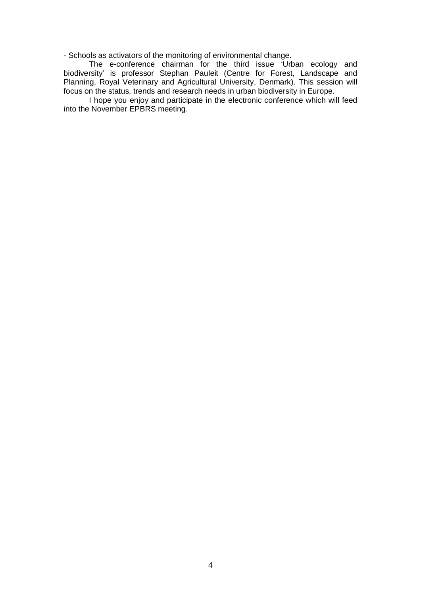- Schools as activators of the monitoring of environmental change.

The e-conference chairman for the third issue 'Urban ecology and biodiversity' is professor Stephan Pauleit (Centre for Forest, Landscape and Planning, Royal Veterinary and Agricultural University, Denmark). This session will focus on the status, trends and research needs in urban biodiversity in Europe.

I hope you enjoy and participate in the electronic conference which will feed into the November EPBRS meeting.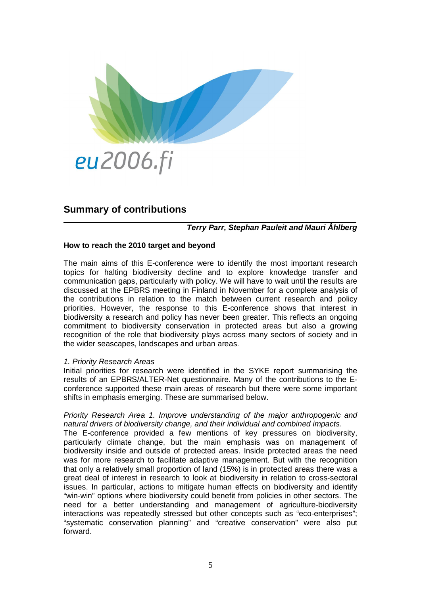

## <span id="page-7-0"></span>**Summary of contributions**

#### *Terry Parr, Stephan Pauleit and Mauri Åhlberg*

#### **How to reach the 2010 target and beyond**

The main aims of this E-conference were to identify the most important research topics for halting biodiversity decline and to explore knowledge transfer and communication gaps, particularly with policy. We will have to wait until the results are discussed at the EPBRS meeting in Finland in November for a complete analysis of the contributions in relation to the match between current research and policy priorities. However, the response to this E-conference shows that interest in biodiversity a research and policy has never been greater. This reflects an ongoing commitment to biodiversity conservation in protected areas but also a growing recognition of the role that biodiversity plays across many sectors of society and in the wider seascapes, landscapes and urban areas.

#### *1. Priority Research Areas*

Initial priorities for research were identified in the SYKE report summarising the results of an EPBRS/ALTER-Net questionnaire. Many of the contributions to the Econference supported these main areas of research but there were some important shifts in emphasis emerging. These are summarised below.

#### *Priority Research Area 1. Improve understanding of the major anthropogenic and natural drivers of biodiversity change, and their individual and combined impacts.*

The E-conference provided a few mentions of key pressures on biodiversity, particularly climate change, but the main emphasis was on management of biodiversity inside and outside of protected areas. Inside protected areas the need was for more research to facilitate adaptive management. But with the recognition that only a relatively small proportion of land (15%) is in protected areas there was a great deal of interest in research to look at biodiversity in relation to cross-sectoral issues. In particular, actions to mitigate human effects on biodiversity and identify "win-win" options where biodiversity could benefit from policies in other sectors. The need for a better understanding and management of agriculture-biodiversity interactions was repeatedly stressed but other concepts such as "eco-enterprises"; "systematic conservation planning" and "creative conservation" were also put forward.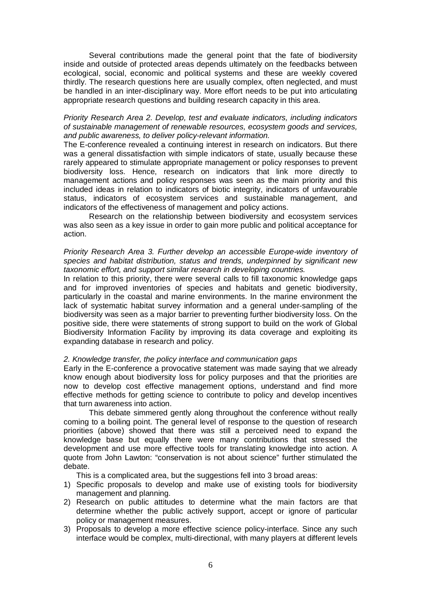Several contributions made the general point that the fate of biodiversity inside and outside of protected areas depends ultimately on the feedbacks between ecological, social, economic and political systems and these are weekly covered thirdly. The research questions here are usually complex, often neglected, and must be handled in an inter-disciplinary way. More effort needs to be put into articulating appropriate research questions and building research capacity in this area.

#### *Priority Research Area 2. Develop, test and evaluate indicators, including indicators of sustainable management of renewable resources, ecosystem goods and services, and public awareness, to deliver policy-relevant information.*

The E-conference revealed a continuing interest in research on indicators. But there was a general dissatisfaction with simple indicators of state, usually because these rarely appeared to stimulate appropriate management or policy responses to prevent biodiversity loss. Hence, research on indicators that link more directly to management actions and policy responses was seen as the main priority and this included ideas in relation to indicators of biotic integrity, indicators of unfavourable status, indicators of ecosystem services and sustainable management, and indicators of the effectiveness of management and policy actions.

Research on the relationship between biodiversity and ecosystem services was also seen as a key issue in order to gain more public and political acceptance for action.

#### *Priority Research Area 3. Further develop an accessible Europe-wide inventory of species and habitat distribution, status and trends, underpinned by significant new taxonomic effort, and support similar research in developing countries.*

In relation to this priority, there were several calls to fill taxonomic knowledge gaps and for improved inventories of species and habitats and genetic biodiversity, particularly in the coastal and marine environments. In the marine environment the lack of systematic habitat survey information and a general under-sampling of the biodiversity was seen as a major barrier to preventing further biodiversity loss. On the positive side, there were statements of strong support to build on the work of Global Biodiversity Information Facility by improving its data coverage and exploiting its expanding database in research and policy.

#### *2. Knowledge transfer, the policy interface and communication gaps*

Early in the E-conference a provocative statement was made saying that we already know enough about biodiversity loss for policy purposes and that the priorities are now to develop cost effective management options, understand and find more effective methods for getting science to contribute to policy and develop incentives that turn awareness into action.

This debate simmered gently along throughout the conference without really coming to a boiling point. The general level of response to the question of research priorities (above) showed that there was still a perceived need to expand the knowledge base but equally there were many contributions that stressed the development and use more effective tools for translating knowledge into action. A quote from John Lawton: "conservation is not about science" further stimulated the debate.

This is a complicated area, but the suggestions fell into 3 broad areas:

- 1) Specific proposals to develop and make use of existing tools for biodiversity management and planning.
- 2) Research on public attitudes to determine what the main factors are that determine whether the public actively support, accept or ignore of particular policy or management measures.
- 3) Proposals to develop a more effective science policy-interface. Since any such interface would be complex, multi-directional, with many players at different levels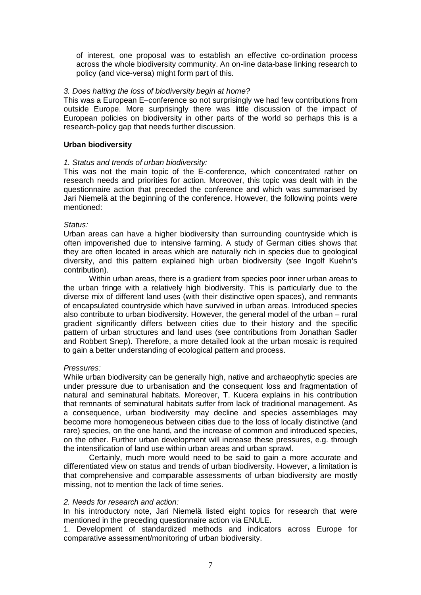of interest, one proposal was to establish an effective co-ordination process across the whole biodiversity community. An on-line data-base linking research to policy (and vice-versa) might form part of this.

#### *3. Does halting the loss of biodiversity begin at home?*

This was a European E–conference so not surprisingly we had few contributions from outside Europe. More surprisingly there was little discussion of the impact of European policies on biodiversity in other parts of the world so perhaps this is a research-policy gap that needs further discussion.

#### **Urban biodiversity**

#### *1. Status and trends of urban biodiversity:*

This was not the main topic of the E-conference, which concentrated rather on research needs and priorities for action. Moreover, this topic was dealt with in the questionnaire action that preceded the conference and which was summarised by Jari Niemelä at the beginning of the conference. However, the following points were mentioned:

#### *Status:*

Urban areas can have a higher biodiversity than surrounding countryside which is often impoverished due to intensive farming. A study of German cities shows that they are often located in areas which are naturally rich in species due to geological diversity, and this pattern explained high urban biodiversity (see Ingolf Kuehn's contribution).

Within urban areas, there is a gradient from species poor inner urban areas to the urban fringe with a relatively high biodiversity. This is particularly due to the diverse mix of different land uses (with their distinctive open spaces), and remnants of encapsulated countryside which have survived in urban areas. Introduced species also contribute to urban biodiversity. However, the general model of the urban – rural gradient significantly differs between cities due to their history and the specific pattern of urban structures and land uses (see contributions from Jonathan Sadler and Robbert Snep). Therefore, a more detailed look at the urban mosaic is required to gain a better understanding of ecological pattern and process.

#### *Pressures:*

While urban biodiversity can be generally high, native and archaeophytic species are under pressure due to urbanisation and the consequent loss and fragmentation of natural and seminatural habitats. Moreover, T. Kucera explains in his contribution that remnants of seminatural habitats suffer from lack of traditional management. As a consequence, urban biodiversity may decline and species assemblages may become more homogeneous between cities due to the loss of locally distinctive (and rare) species, on the one hand, and the increase of common and introduced species, on the other. Further urban development will increase these pressures, e.g. through the intensification of land use within urban areas and urban sprawl.

Certainly, much more would need to be said to gain a more accurate and differentiated view on status and trends of urban biodiversity. However, a limitation is that comprehensive and comparable assessments of urban biodiversity are mostly missing, not to mention the lack of time series.

#### *2. Needs for research and action:*

In his introductory note, Jari Niemelä listed eight topics for research that were mentioned in the preceding questionnaire action via ENULE.

1. Development of standardized methods and indicators across Europe for comparative assessment/monitoring of urban biodiversity.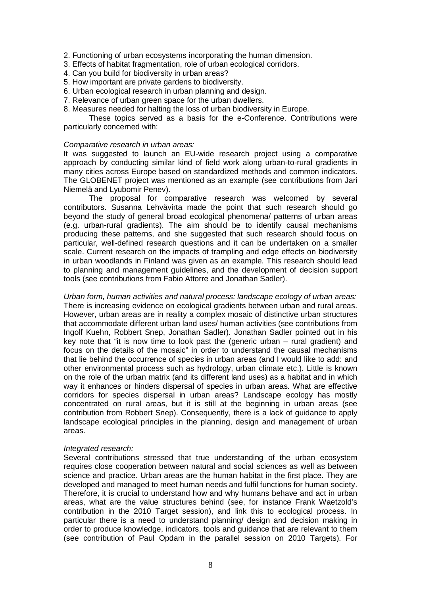2. Functioning of urban ecosystems incorporating the human dimension.

- 3. Effects of habitat fragmentation, role of urban ecological corridors.
- 4. Can you build for biodiversity in urban areas?
- 5. How important are private gardens to biodiversity.
- 6. Urban ecological research in urban planning and design.
- 7. Relevance of urban green space for the urban dwellers.
- 8. Measures needed for halting the loss of urban biodiversity in Europe.

These topics served as a basis for the e-Conference. Contributions were particularly concerned with:

#### *Comparative research in urban areas:*

It was suggested to launch an EU-wide research project using a comparative approach by conducting similar kind of field work along urban-to-rural gradients in many cities across Europe based on standardized methods and common indicators. The GLOBENET project was mentioned as an example (see contributions from Jari Niemelä and Lyubomir Penev).

The proposal for comparative research was welcomed by several contributors. Susanna Lehvävirta made the point that such research should go beyond the study of general broad ecological phenomena/ patterns of urban areas (e.g. urban-rural gradients). The aim should be to identify causal mechanisms producing these patterns, and she suggested that such research should focus on particular, well-defined research questions and it can be undertaken on a smaller scale. Current research on the impacts of trampling and edge effects on biodiversity in urban woodlands in Finland was given as an example. This research should lead to planning and management guidelines, and the development of decision support tools (see contributions from Fabio Attorre and Jonathan Sadler).

*Urban form, human activities and natural process: landscape ecology of urban areas:* There is increasing evidence on ecological gradients between urban and rural areas. However, urban areas are in reality a complex mosaic of distinctive urban structures that accommodate different urban land uses/ human activities (see contributions from Ingolf Kuehn, Robbert Snep, Jonathan Sadler). Jonathan Sadler pointed out in his key note that "it is now time to look past the (generic urban – rural gradient) and focus on the details of the mosaic" in order to understand the causal mechanisms that lie behind the occurrence of species in urban areas (and I would like to add: and other environmental process such as hydrology, urban climate etc.). Little is known on the role of the urban matrix (and its different land uses) as a habitat and in which way it enhances or hinders dispersal of species in urban areas. What are effective corridors for species dispersal in urban areas? Landscape ecology has mostly concentrated on rural areas, but it is still at the beginning in urban areas (see contribution from Robbert Snep). Consequently, there is a lack of guidance to apply landscape ecological principles in the planning, design and management of urban areas.

#### *Integrated research:*

Several contributions stressed that true understanding of the urban ecosystem requires close cooperation between natural and social sciences as well as between science and practice. Urban areas are the human habitat in the first place. They are developed and managed to meet human needs and fulfil functions for human society. Therefore, it is crucial to understand how and why humans behave and act in urban areas, what are the value structures behind (see, for instance Frank Waetzold's contribution in the 2010 Target session), and link this to ecological process. In particular there is a need to understand planning/ design and decision making in order to produce knowledge, indicators, tools and guidance that are relevant to them (see contribution of Paul Opdam in the parallel session on 2010 Targets). For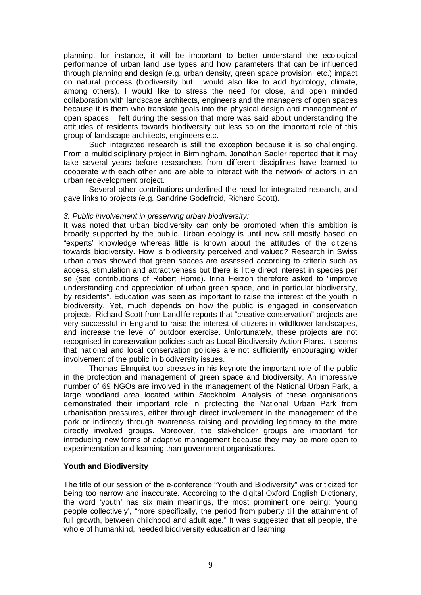planning, for instance, it will be important to better understand the ecological performance of urban land use types and how parameters that can be influenced through planning and design (e.g. urban density, green space provision, etc.) impact on natural process (biodiversity but I would also like to add hydrology, climate, among others). I would like to stress the need for close, and open minded collaboration with landscape architects, engineers and the managers of open spaces because it is them who translate goals into the physical design and management of open spaces. I felt during the session that more was said about understanding the attitudes of residents towards biodiversity but less so on the important role of this group of landscape architects, engineers etc.

Such integrated research is still the exception because it is so challenging. From a multidisciplinary project in Birmingham, Jonathan Sadler reported that it may take several years before researchers from different disciplines have learned to cooperate with each other and are able to interact with the network of actors in an urban redevelopment project.

Several other contributions underlined the need for integrated research, and gave links to projects (e.g. Sandrine Godefroid, Richard Scott).

#### *3. Public involvement in preserving urban biodiversity:*

It was noted that urban biodiversity can only be promoted when this ambition is broadly supported by the public. Urban ecology is until now still mostly based on "experts" knowledge whereas little is known about the attitudes of the citizens towards biodiversity. How is biodiversity perceived and valued? Research in Swiss urban areas showed that green spaces are assessed according to criteria such as access, stimulation and attractiveness but there is little direct interest in species per se (see contributions of Robert Home). Irina Herzon therefore asked to "improve understanding and appreciation of urban green space, and in particular biodiversity, by residents". Education was seen as important to raise the interest of the youth in biodiversity. Yet, much depends on how the public is engaged in conservation projects. Richard Scott from Landlife reports that "creative conservation" projects are very successful in England to raise the interest of citizens in wildflower landscapes, and increase the level of outdoor exercise. Unfortunately, these projects are not recognised in conservation policies such as Local Biodiversity Action Plans. It seems that national and local conservation policies are not sufficiently encouraging wider involvement of the public in biodiversity issues.

Thomas Elmquist too stresses in his keynote the important role of the public in the protection and management of green space and biodiversity. An impressive number of 69 NGOs are involved in the management of the National Urban Park, a large woodland area located within Stockholm. Analysis of these organisations demonstrated their important role in protecting the National Urban Park from urbanisation pressures, either through direct involvement in the management of the park or indirectly through awareness raising and providing legitimacy to the more directly involved groups. Moreover, the stakeholder groups are important for introducing new forms of adaptive management because they may be more open to experimentation and learning than government organisations.

#### **Youth and Biodiversity**

The title of our session of the e-conference "Youth and Biodiversity" was criticized for being too narrow and inaccurate. According to the digital Oxford English Dictionary, the word 'youth' has six main meanings, the most prominent one being: 'young people collectively', "more specifically, the period from puberty till the attainment of full growth, between childhood and adult age." It was suggested that all people, the whole of humankind, needed biodiversity education and learning.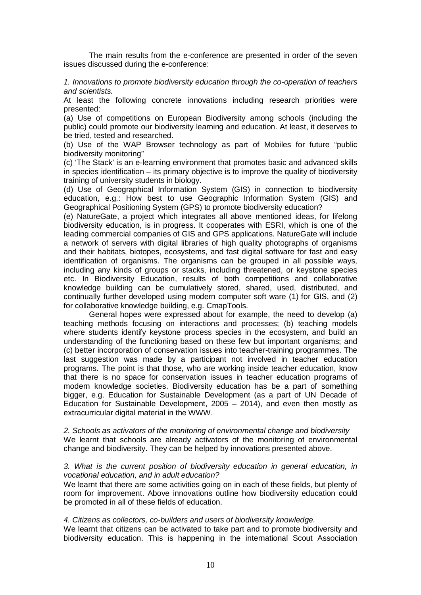The main results from the e-conference are presented in order of the seven issues discussed during the e-conference:

*1. Innovations to promote biodiversity education through the co-operation of teachers and scientists.*

At least the following concrete innovations including research priorities were presented:

(a) Use of competitions on European Biodiversity among schools (including the public) could promote our biodiversity learning and education. At least, it deserves to be tried, tested and researched.

(b) Use of the WAP Browser technology as part of Mobiles for future "public biodiversity monitoring"

(c) 'The Stack' is an e-learning environment that promotes basic and advanced skills in species identification – its primary objective is to improve the quality of biodiversity training of university students in biology.

(d) Use of Geographical Information System (GIS) in connection to biodiversity education, e.g.: How best to use Geographic Information System (GIS) and Geographical Positioning System (GPS) to promote biodiversity education?

(e) NatureGate, a project which integrates all above mentioned ideas, for lifelong biodiversity education, is in progress. It cooperates with ESRI, which is one of the leading commercial companies of GIS and GPS applications. NatureGate will include a network of servers with digital libraries of high quality photographs of organisms and their habitats, biotopes, ecosystems, and fast digital software for fast and easy identification of organisms. The organisms can be grouped in all possible ways, including any kinds of groups or stacks, including threatened, or keystone species etc. In Biodiversity Education, results of both competitions and collaborative knowledge building can be cumulatively stored, shared, used, distributed, and continually further developed using modern computer soft ware (1) for GIS, and (2) for collaborative knowledge building, e.g. CmapTools.

General hopes were expressed about for example, the need to develop (a) teaching methods focusing on interactions and processes; (b) teaching models where students identify keystone process species in the ecosystem, and build an understanding of the functioning based on these few but important organisms; and (c) better incorporation of conservation issues into teacher-training programmes. The last suggestion was made by a participant not involved in teacher education programs. The point is that those, who are working inside teacher education, know that there is no space for conservation issues in teacher education programs of modern knowledge societies. Biodiversity education has be a part of something bigger, e.g. Education for Sustainable Development (as a part of UN Decade of Education for Sustainable Development, 2005 – 2014), and even then mostly as extracurricular digital material in the WWW.

*2. Schools as activators of the monitoring of environmental change and biodiversity* We learnt that schools are already activators of the monitoring of environmental change and biodiversity. They can be helped by innovations presented above.

#### *3. What is the current position of biodiversity education in general education, in vocational education, and in adult education?*

We learnt that there are some activities going on in each of these fields, but plenty of room for improvement. Above innovations outline how biodiversity education could be promoted in all of these fields of education.

#### *4. Citizens as collectors, co-builders and users of biodiversity knowledge.*

We learnt that citizens can be activated to take part and to promote biodiversity and biodiversity education. This is happening in the international Scout Association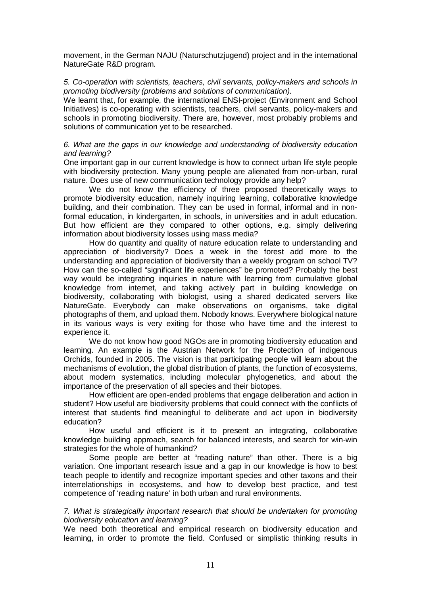movement, in the German NAJU (Naturschutzjugend) project and in the international NatureGate R&D program.

#### *5. Co-operation with scientists, teachers, civil servants, policy-makers and schools in promoting biodiversity (problems and solutions of communication).*

We learnt that, for example, the international ENSI-project (Environment and School Initiatives) is co-operating with scientists, teachers, civil servants, policy-makers and schools in promoting biodiversity. There are, however, most probably problems and solutions of communication yet to be researched.

#### *6. What are the gaps in our knowledge and understanding of biodiversity education and learning?*

One important gap in our current knowledge is how to connect urban life style people with biodiversity protection. Many young people are alienated from non-urban, rural nature. Does use of new communication technology provide any help?

We do not know the efficiency of three proposed theoretically ways to promote biodiversity education, namely inquiring learning, collaborative knowledge building, and their combination. They can be used in formal, informal and in nonformal education, in kindergarten, in schools, in universities and in adult education. But how efficient are they compared to other options, e.g. simply delivering information about biodiversity losses using mass media?

How do quantity and quality of nature education relate to understanding and appreciation of biodiversity? Does a week in the forest add more to the understanding and appreciation of biodiversity than a weekly program on school TV? How can the so-called "significant life experiences" be promoted? Probably the best way would be integrating inquiries in nature with learning from cumulative global knowledge from internet, and taking actively part in building knowledge on biodiversity, collaborating with biologist, using a shared dedicated servers like NatureGate. Everybody can make observations on organisms, take digital photographs of them, and upload them. Nobody knows. Everywhere biological nature in its various ways is very exiting for those who have time and the interest to experience it.

We do not know how good NGOs are in promoting biodiversity education and learning. An example is the Austrian Network for the Protection of indigenous Orchids, founded in 2005. The vision is that participating people will learn about the mechanisms of evolution, the global distribution of plants, the function of ecosystems, about modern systematics, including molecular phylogenetics, and about the importance of the preservation of all species and their biotopes.

How efficient are open-ended problems that engage deliberation and action in student? How useful are biodiversity problems that could connect with the conflicts of interest that students find meaningful to deliberate and act upon in biodiversity education?

How useful and efficient is it to present an integrating, collaborative knowledge building approach, search for balanced interests, and search for win-win strategies for the whole of humankind?

Some people are better at "reading nature" than other. There is a big variation. One important research issue and a gap in our knowledge is how to best teach people to identify and recognize important species and other taxons and their interrelationships in ecosystems, and how to develop best practice, and test competence of 'reading nature' in both urban and rural environments.

#### *7. What is strategically important research that should be undertaken for promoting biodiversity education and learning?*

We need both theoretical and empirical research on biodiversity education and learning, in order to promote the field. Confused or simplistic thinking results in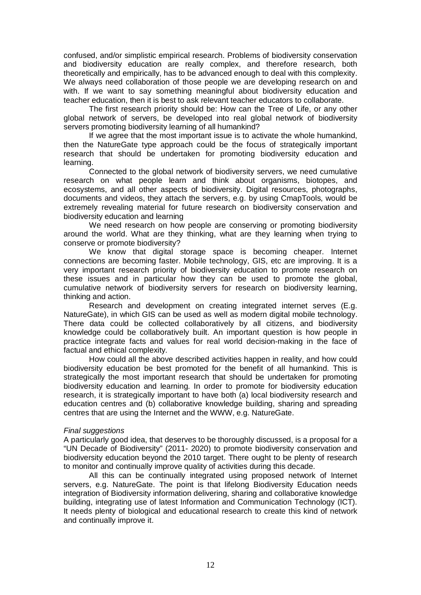confused, and/or simplistic empirical research. Problems of biodiversity conservation and biodiversity education are really complex, and therefore research, both theoretically and empirically, has to be advanced enough to deal with this complexity. We always need collaboration of those people we are developing research on and with. If we want to say something meaningful about biodiversity education and teacher education, then it is best to ask relevant teacher educators to collaborate.

The first research priority should be: How can the Tree of Life, or any other global network of servers, be developed into real global network of biodiversity servers promoting biodiversity learning of all humankind?

If we agree that the most important issue is to activate the whole humankind, then the NatureGate type approach could be the focus of strategically important research that should be undertaken for promoting biodiversity education and learning.

Connected to the global network of biodiversity servers, we need cumulative research on what people learn and think about organisms, biotopes, and ecosystems, and all other aspects of biodiversity. Digital resources, photographs, documents and videos, they attach the servers, e.g. by using CmapTools, would be extremely revealing material for future research on biodiversity conservation and biodiversity education and learning

We need research on how people are conserving or promoting biodiversity around the world. What are they thinking, what are they learning when trying to conserve or promote biodiversity?

We know that digital storage space is becoming cheaper. Internet connections are becoming faster. Mobile technology, GIS, etc are improving. It is a very important research priority of biodiversity education to promote research on these issues and in particular how they can be used to promote the global, cumulative network of biodiversity servers for research on biodiversity learning, thinking and action.

Research and development on creating integrated internet serves (E.g. NatureGate), in which GIS can be used as well as modern digital mobile technology. There data could be collected collaboratively by all citizens, and biodiversity knowledge could be collaboratively built. An important question is how people in practice integrate facts and values for real world decision-making in the face of factual and ethical complexity.

How could all the above described activities happen in reality, and how could biodiversity education be best promoted for the benefit of all humankind. This is strategically the most important research that should be undertaken for promoting biodiversity education and learning. In order to promote for biodiversity education research, it is strategically important to have both (a) local biodiversity research and education centres and (b) collaborative knowledge building, sharing and spreading centres that are using the Internet and the WWW, e.g. NatureGate.

#### *Final suggestions*

A particularly good idea, that deserves to be thoroughly discussed, is a proposal for a "UN Decade of Biodiversity" (2011- 2020) to promote biodiversity conservation and biodiversity education beyond the 2010 target. There ought to be plenty of research to monitor and continually improve quality of activities during this decade.

All this can be continually integrated using proposed network of Internet servers, e.g. NatureGate. The point is that lifelong Biodiversity Education needs integration of Biodiversity information delivering, sharing and collaborative knowledge building, integrating use of latest Information and Communication Technology (ICT). It needs plenty of biological and educational research to create this kind of network and continually improve it.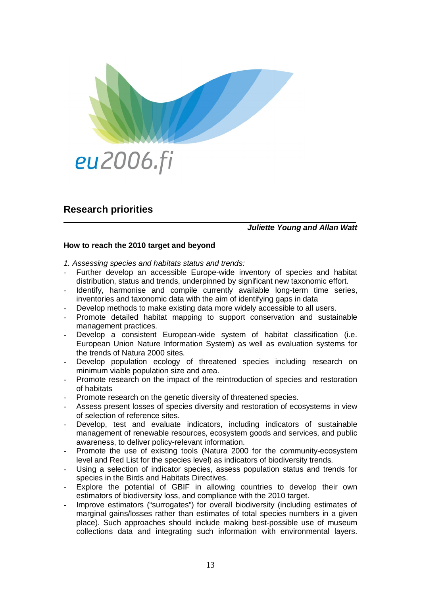

## <span id="page-15-0"></span>**Research priorities**

#### *Juliette Young and Allan Watt*

#### **How to reach the 2010 target and beyond**

*1. Assessing species and habitats status and trends:*

- Further develop an accessible Europe-wide inventory of species and habitat distribution, status and trends, underpinned by significant new taxonomic effort.
- Identify, harmonise and compile currently available long-term time series, inventories and taxonomic data with the aim of identifying gaps in data
- Develop methods to make existing data more widely accessible to all users.
- Promote detailed habitat mapping to support conservation and sustainable management practices.
- Develop a consistent European-wide system of habitat classification (i.e. European Union Nature Information System) as well as evaluation systems for the trends of Natura 2000 sites.
- Develop population ecology of threatened species including research on minimum viable population size and area.
- Promote research on the impact of the reintroduction of species and restoration of habitats
- Promote research on the genetic diversity of threatened species.
- Assess present losses of species diversity and restoration of ecosystems in view of selection of reference sites.
- Develop, test and evaluate indicators, including indicators of sustainable management of renewable resources, ecosystem goods and services, and public awareness, to deliver policy-relevant information.
- Promote the use of existing tools (Natura 2000 for the community-ecosystem level and Red List for the species level) as indicators of biodiversity trends.
- Using a selection of indicator species, assess population status and trends for species in the Birds and Habitats Directives.
- Explore the potential of GBIF in allowing countries to develop their own estimators of biodiversity loss, and compliance with the 2010 target.
- Improve estimators ("surrogates") for overall biodiversity (including estimates of marginal gains/losses rather than estimates of total species numbers in a given place). Such approaches should include making best-possible use of museum collections data and integrating such information with environmental layers.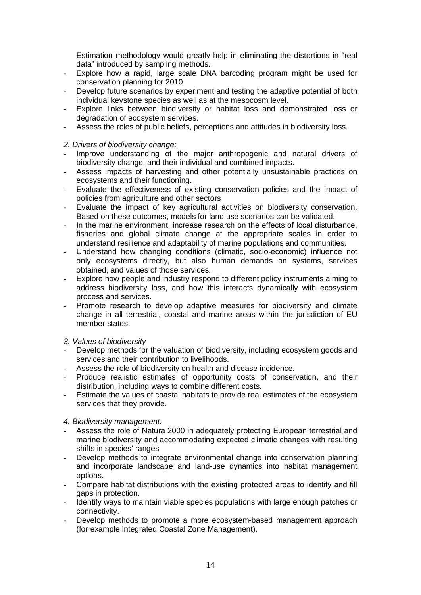Estimation methodology would greatly help in eliminating the distortions in "real data" introduced by sampling methods.

- Explore how a rapid, large scale DNA barcoding program might be used for conservation planning for 2010
- Develop future scenarios by experiment and testing the adaptive potential of both individual keystone species as well as at the mesocosm level.
- Explore links between biodiversity or habitat loss and demonstrated loss or degradation of ecosystem services.
- Assess the roles of public beliefs, perceptions and attitudes in biodiversity loss.
- *2. Drivers of biodiversity change:*
- Improve understanding of the major anthropogenic and natural drivers of biodiversity change, and their individual and combined impacts.
- Assess impacts of harvesting and other potentially unsustainable practices on ecosystems and their functioning.
- Evaluate the effectiveness of existing conservation policies and the impact of policies from agriculture and other sectors
- Evaluate the impact of key agricultural activities on biodiversity conservation. Based on these outcomes, models for land use scenarios can be validated.
- In the marine environment, increase research on the effects of local disturbance, fisheries and global climate change at the appropriate scales in order to understand resilience and adaptability of marine populations and communities.
- Understand how changing conditions (climatic, socio-economic) influence not only ecosystems directly, but also human demands on systems, services obtained, and values of those services.
- Explore how people and industry respond to different policy instruments aiming to address biodiversity loss, and how this interacts dynamically with ecosystem process and services.
- Promote research to develop adaptive measures for biodiversity and climate change in all terrestrial, coastal and marine areas within the jurisdiction of EU member states.
- *3. Values of biodiversity*
- Develop methods for the valuation of biodiversity, including ecosystem goods and services and their contribution to livelihoods.
- Assess the role of biodiversity on health and disease incidence.
- Produce realistic estimates of opportunity costs of conservation, and their distribution, including ways to combine different costs.
- Estimate the values of coastal habitats to provide real estimates of the ecosystem services that they provide.
- *4. Biodiversity management:*
- Assess the role of Natura 2000 in adequately protecting European terrestrial and marine biodiversity and accommodating expected climatic changes with resulting shifts in species' ranges
- Develop methods to integrate environmental change into conservation planning and incorporate landscape and land-use dynamics into habitat management options.
- Compare habitat distributions with the existing protected areas to identify and fill gaps in protection.
- Identify ways to maintain viable species populations with large enough patches or connectivity.
- Develop methods to promote a more ecosystem-based management approach (for example Integrated Coastal Zone Management).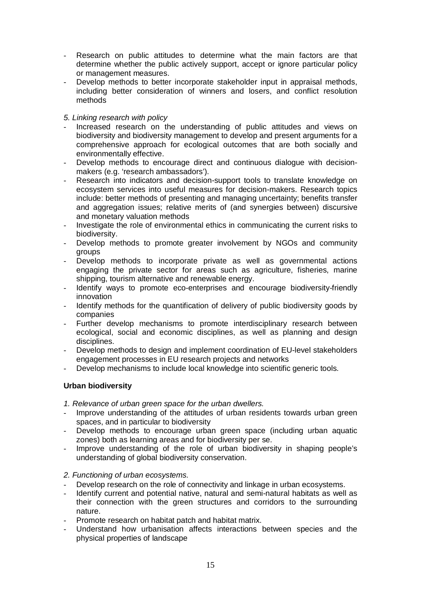- Research on public attitudes to determine what the main factors are that determine whether the public actively support, accept or ignore particular policy or management measures.
- Develop methods to better incorporate stakeholder input in appraisal methods, including better consideration of winners and losers, and conflict resolution methods

#### *5. Linking research with policy*

- Increased research on the understanding of public attitudes and views on biodiversity and biodiversity management to develop and present arguments for a comprehensive approach for ecological outcomes that are both socially and environmentally effective.
- Develop methods to encourage direct and continuous dialogue with decisionmakers (e.g. 'research ambassadors').
- Research into indicators and decision-support tools to translate knowledge on ecosystem services into useful measures for decision-makers. Research topics include: better methods of presenting and managing uncertainty; benefits transfer and aggregation issues; relative merits of (and synergies between) discursive and monetary valuation methods
- Investigate the role of environmental ethics in communicating the current risks to biodiversity.
- Develop methods to promote greater involvement by NGOs and community groups
- Develop methods to incorporate private as well as governmental actions engaging the private sector for areas such as agriculture, fisheries, marine shipping, tourism alternative and renewable energy.
- Identify ways to promote eco-enterprises and encourage biodiversity-friendly innovation
- Identify methods for the quantification of delivery of public biodiversity goods by companies
- Further develop mechanisms to promote interdisciplinary research between ecological, social and economic disciplines, as well as planning and design disciplines.
- Develop methods to design and implement coordination of EU-level stakeholders engagement processes in EU research projects and networks
- Develop mechanisms to include local knowledge into scientific generic tools.

### **Urban biodiversity**

*1. Relevance of urban green space for the urban dwellers.*

- Improve understanding of the attitudes of urban residents towards urban green spaces, and in particular to biodiversity
- Develop methods to encourage urban green space (including urban aquatic zones) both as learning areas and for biodiversity per se.
- Improve understanding of the role of urban biodiversity in shaping people's understanding of global biodiversity conservation.

#### *2. Functioning of urban ecosystems.*

- Develop research on the role of connectivity and linkage in urban ecosystems.
- Identify current and potential native, natural and semi-natural habitats as well as their connection with the green structures and corridors to the surrounding nature.
- Promote research on habitat patch and habitat matrix.
- Understand how urbanisation affects interactions between species and the physical properties of landscape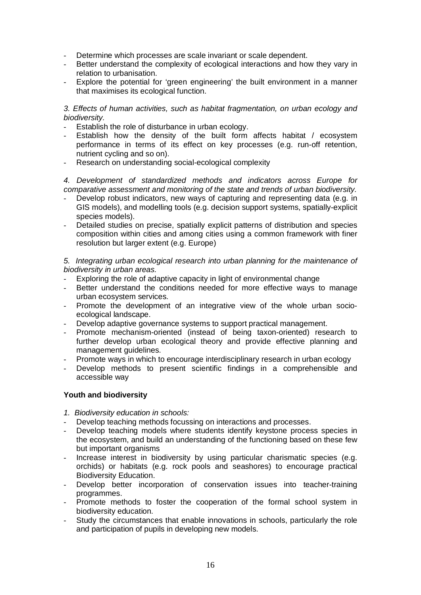- Determine which processes are scale invariant or scale dependent.
- Better understand the complexity of ecological interactions and how they vary in relation to urbanisation.
- Explore the potential for 'green engineering' the built environment in a manner that maximises its ecological function.

#### *3. Effects of human activities, such as habitat fragmentation, on urban ecology and biodiversity.*

- Establish the role of disturbance in urban ecology.
- Establish how the density of the built form affects habitat / ecosystem performance in terms of its effect on key processes (e.g. run-off retention, nutrient cycling and so on).
- Research on understanding social-ecological complexity

*4. Development of standardized methods and indicators across Europe for comparative assessment and monitoring of the state and trends of urban biodiversity.*

- Develop robust indicators, new ways of capturing and representing data (e.g. in GIS models), and modelling tools (e.g. decision support systems, spatially-explicit species models).
- Detailed studies on precise, spatially explicit patterns of distribution and species composition within cities and among cities using a common framework with finer resolution but larger extent (e.g. Europe)

*5. Integrating urban ecological research into urban planning for the maintenance of biodiversity in urban areas.*

- Exploring the role of adaptive capacity in light of environmental change
- Better understand the conditions needed for more effective ways to manage urban ecosystem services.
- Promote the development of an integrative view of the whole urban socioecological landscape.
- Develop adaptive governance systems to support practical management.
- Promote mechanism-oriented (instead of being taxon-oriented) research to further develop urban ecological theory and provide effective planning and management guidelines.
- Promote ways in which to encourage interdisciplinary research in urban ecology
- Develop methods to present scientific findings in a comprehensible and accessible way

#### **Youth and biodiversity**

- *1. Biodiversity education in schools:*
- Develop teaching methods focussing on interactions and processes.
- Develop teaching models where students identify keystone process species in the ecosystem, and build an understanding of the functioning based on these few but important organisms
- Increase interest in biodiversity by using particular charismatic species (e.g. orchids) or habitats (e.g. rock pools and seashores) to encourage practical Biodiversity Education.
- Develop better incorporation of conservation issues into teacher-training programmes.
- Promote methods to foster the cooperation of the formal school system in biodiversity education.
- Study the circumstances that enable innovations in schools, particularly the role and participation of pupils in developing new models.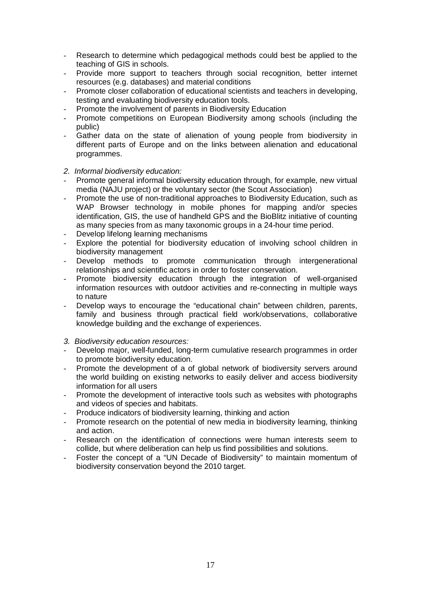- Research to determine which pedagogical methods could best be applied to the teaching of GIS in schools.
- Provide more support to teachers through social recognition, better internet resources (e.g. databases) and material conditions
- Promote closer collaboration of educational scientists and teachers in developing. testing and evaluating biodiversity education tools.
- Promote the involvement of parents in Biodiversity Education
- Promote competitions on European Biodiversity among schools (including the public)
- Gather data on the state of alienation of young people from biodiversity in different parts of Europe and on the links between alienation and educational programmes.

#### *2. Informal biodiversity education:*

- Promote general informal biodiversity education through, for example, new virtual media (NAJU project) or the voluntary sector (the Scout Association)
- Promote the use of non-traditional approaches to Biodiversity Education, such as WAP Browser technology in mobile phones for mapping and/or species identification, GIS, the use of handheld GPS and the BioBlitz initiative of counting as many species from as many taxonomic groups in a 24-hour time period.
- Develop lifelong learning mechanisms
- Explore the potential for biodiversity education of involving school children in biodiversity management
- Develop methods to promote communication through intergenerational relationships and scientific actors in order to foster conservation.
- Promote biodiversity education through the integration of well-organised information resources with outdoor activities and re-connecting in multiple ways to nature
- Develop ways to encourage the "educational chain" between children, parents, family and business through practical field work/observations, collaborative knowledge building and the exchange of experiences.
- *3. Biodiversity education resources:*
- Develop major, well-funded, long-term cumulative research programmes in order to promote biodiversity education.
- Promote the development of a of global network of biodiversity servers around the world building on existing networks to easily deliver and access biodiversity information for all users
- Promote the development of interactive tools such as websites with photographs and videos of species and habitats.
- Produce indicators of biodiversity learning, thinking and action
- Promote research on the potential of new media in biodiversity learning, thinking and action.
- Research on the identification of connections were human interests seem to collide, but where deliberation can help us find possibilities and solutions.
- Foster the concept of a "UN Decade of Biodiversity" to maintain momentum of biodiversity conservation beyond the 2010 target.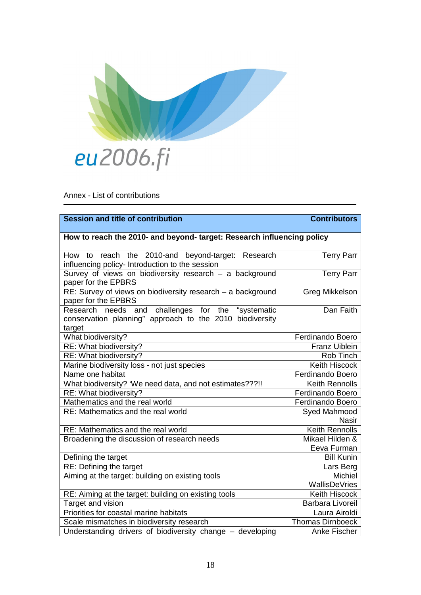

<span id="page-20-0"></span>Annex - List of contributions

| <b>Session and title of contribution</b>                                                                                   | <b>Contributors</b>          |  |
|----------------------------------------------------------------------------------------------------------------------------|------------------------------|--|
|                                                                                                                            |                              |  |
| How to reach the 2010- and beyond- target: Research influencing policy                                                     |                              |  |
| the 2010-and beyond-target: Research<br>How to reach<br>influencing policy- Introduction to the session                    | <b>Terry Parr</b>            |  |
| Survey of views on biodiversity research - a background<br>paper for the EPBRS                                             | <b>Terry Parr</b>            |  |
| RE: Survey of views on biodiversity research - a background<br>paper for the EPBRS                                         | Greg Mikkelson               |  |
| and challenges for the "systematic<br>Research needs<br>conservation planning" approach to the 2010 biodiversity<br>target | Dan Faith                    |  |
| What biodiversity?                                                                                                         | Ferdinando Boero             |  |
| RE: What biodiversity?                                                                                                     | <b>Franz Uiblein</b>         |  |
| RE: What biodiversity?                                                                                                     | Rob Tinch                    |  |
| Marine biodiversity loss - not just species                                                                                | <b>Keith Hiscock</b>         |  |
| Name one habitat                                                                                                           | Ferdinando Boero             |  |
| What biodiversity? 'We need data, and not estimates???!!                                                                   | <b>Keith Rennolls</b>        |  |
| RE: What biodiversity?                                                                                                     | <b>Ferdinando Boero</b>      |  |
| Mathematics and the real world                                                                                             | <b>Ferdinando Boero</b>      |  |
| RE: Mathematics and the real world                                                                                         | Syed Mahmood<br><b>Nasir</b> |  |
| RE: Mathematics and the real world                                                                                         | <b>Keith Rennolls</b>        |  |
| Broadening the discussion of research needs                                                                                | Mikael Hilden &              |  |
|                                                                                                                            | Eeva Furman                  |  |
| Defining the target                                                                                                        | <b>Bill Kunin</b>            |  |
| <b>RE: Defining the target</b>                                                                                             | Lars Berg                    |  |
| Aiming at the target: building on existing tools                                                                           | <b>Michiel</b>               |  |
|                                                                                                                            | WallisDeVries                |  |
| RE: Aiming at the target: building on existing tools                                                                       | <b>Keith Hiscock</b>         |  |
| Target and vision                                                                                                          | Barbara Livoreil             |  |
| Priorities for coastal marine habitats                                                                                     | Laura Airoldi                |  |
| Scale mismatches in biodiversity research                                                                                  | <b>Thomas Dirnboeck</b>      |  |
| Understanding drivers of biodiversity change - developing                                                                  | Anke Fischer                 |  |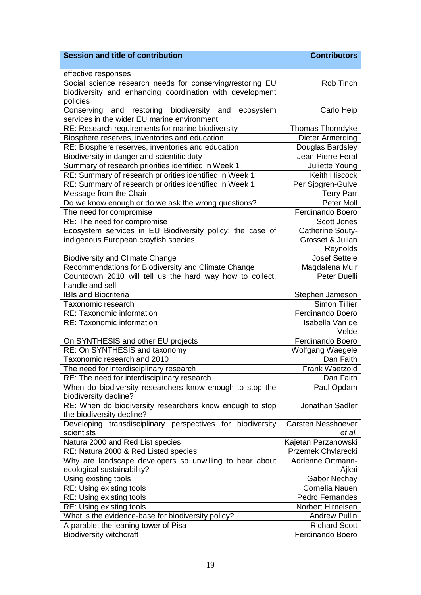| <b>Session and title of contribution</b>                                    | <b>Contributors</b>       |
|-----------------------------------------------------------------------------|---------------------------|
|                                                                             |                           |
| effective responses                                                         |                           |
| Social science research needs for conserving/restoring EU                   | Rob Tinch                 |
| biodiversity and enhancing coordination with development                    |                           |
| policies                                                                    |                           |
| and restoring biodiversity and<br>Conserving<br>ecosystem                   | Carlo Heip                |
| services in the wider EU marine environment                                 |                           |
| RE: Research requirements for marine biodiversity                           | <b>Thomas Thorndyke</b>   |
| Biosphere reserves, inventories and education                               | <b>Dieter Armerding</b>   |
| RE: Biosphere reserves, inventories and education                           | Douglas Bardsley          |
| Biodiversity in danger and scientific duty                                  | Jean-Pierre Feral         |
| Summary of research priorities identified in Week 1                         | Juliette Young            |
| RE: Summary of research priorities identified in Week 1                     | <b>Keith Hiscock</b>      |
| RE: Summary of research priorities identified in Week 1                     | Per Sjogren-Gulve         |
| Message from the Chair                                                      | <b>Terry Parr</b>         |
| Do we know enough or do we ask the wrong questions?                         | <b>Peter Moll</b>         |
| The need for compromise                                                     | <b>Ferdinando Boero</b>   |
| RE: The need for compromise                                                 | <b>Scott Jones</b>        |
| Ecosystem services in EU Biodiversity policy: the case of                   | <b>Catherine Souty-</b>   |
| indigenous European crayfish species                                        | Grosset & Julian          |
|                                                                             | Reynolds                  |
| <b>Biodiversity and Climate Change</b>                                      | Josef Settele             |
| Recommendations for Biodiversity and Climate Change                         | Magdalena Muir            |
| Countdown 2010 will tell us the hard way how to collect,<br>handle and sell | Peter Duelli              |
| <b>IBIs and Biocriteria</b>                                                 | Stephen Jameson           |
| Taxonomic research                                                          | <b>Simon Tillier</b>      |
| <b>RE: Taxonomic information</b>                                            | Ferdinando Boero          |
| <b>RE: Taxonomic information</b>                                            | Isabella Van de           |
|                                                                             | Velde                     |
| On SYNTHESIS and other EU projects                                          | Ferdinando Boero          |
| RE: On SYNTHESIS and taxonomy                                               | Wolfgang Waegele          |
| Taxonomic research and 2010                                                 | Dan Faith                 |
| The need for interdisciplinary research                                     | <b>Frank Waetzold</b>     |
| RE: The need for interdisciplinary research                                 | Dan Faith                 |
| When do biodiversity researchers know enough to stop the                    | Paul Opdam                |
| biodiversity decline?                                                       |                           |
| RE: When do biodiversity researchers know enough to stop                    | Jonathan Sadler           |
| the biodiversity decline?                                                   |                           |
| Developing transdisciplinary perspectives for biodiversity                  | <b>Carsten Nesshoever</b> |
| scientists                                                                  | et al.                    |
| Natura 2000 and Red List species                                            | Kajetan Perzanowski       |
| RE: Natura 2000 & Red Listed species                                        | Przemek Chylarecki        |
| Why are landscape developers so unwilling to hear about                     | <b>Adrienne Ortmann-</b>  |
| ecological sustainability?                                                  | Ajkai                     |
| Using existing tools                                                        | <b>Gabor Nechay</b>       |
| RE: Using existing tools                                                    | Cornelia Nauen            |
| RE: Using existing tools                                                    | Pedro Fernandes           |
| RE: Using existing tools                                                    | Norbert Hirneisen         |
| What is the evidence-base for biodiversity policy?                          | <b>Andrew Pullin</b>      |
| A parable: the leaning tower of Pisa                                        | <b>Richard Scott</b>      |
| <b>Biodiversity witchcraft</b>                                              | Ferdinando Boero          |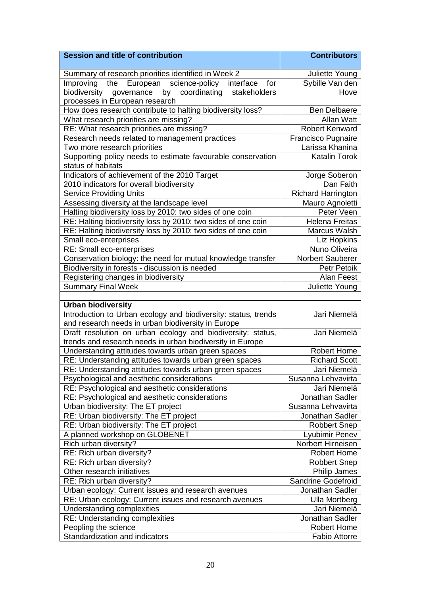| <b>Session and title of contribution</b>                       | <b>Contributors</b>       |
|----------------------------------------------------------------|---------------------------|
| Summary of research priorities identified in Week 2            | Juliette Young            |
| interface for<br>European science-policy<br>Improving<br>the   | Sybille Van den           |
| governance by<br>biodiversity<br>coordinating<br>stakeholders  | Hove                      |
| processes in European research                                 |                           |
| How does research contribute to halting biodiversity loss?     | <b>Ben Delbaere</b>       |
| What research priorities are missing?                          | <b>Allan Watt</b>         |
| RE: What research priorities are missing?                      | <b>Robert Kenward</b>     |
| Research needs related to management practices                 | Francisco Pugnaire        |
| Two more research priorities                                   | Larissa Khanina           |
| Supporting policy needs to estimate favourable conservation    | <b>Katalin Torok</b>      |
| status of habitats                                             |                           |
| Indicators of achievement of the 2010 Target                   | Jorge Soberon             |
| 2010 indicators for overall biodiversity                       | Dan Faith                 |
| <b>Service Providing Units</b>                                 | <b>Richard Harrington</b> |
| Assessing diversity at the landscape level                     | Mauro Agnoletti           |
| Halting biodiversity loss by 2010: two sides of one coin       | Peter Veen                |
| RE: Halting biodiversity loss by 2010: two sides of one coin   | <b>Helena Freitas</b>     |
| RE: Halting biodiversity loss by 2010: two sides of one coin   | Marcus Walsh              |
| Small eco-enterprises                                          | <b>Liz Hopkins</b>        |
| <b>RE: Small eco-enterprises</b>                               | Nuno Oliveira             |
| Conservation biology: the need for mutual knowledge transfer   | Norbert Sauberer          |
| Biodiversity in forests - discussion is needed                 | <b>Petr Petoik</b>        |
| Registering changes in biodiversity                            | Alan Feest                |
| <b>Summary Final Week</b>                                      | Juliette Young            |
|                                                                |                           |
| <b>Urban biodiversity</b>                                      |                           |
| Introduction to Urban ecology and biodiversity: status, trends | Jari Niemelä              |
| and research needs in urban biodiversity in Europe             |                           |
| Draft resolution on urban ecology and biodiversity: status,    | Jari Niemelä              |
| trends and research needs in urban biodiversity in Europe      |                           |
| Understanding attitudes towards urban green spaces             | <b>Robert Home</b>        |
| RE: Understanding attitudes towards urban green spaces         | <b>Richard Scott</b>      |
| RE: Understanding attitudes towards urban green spaces         | Jari Niemelä              |
| Psychological and aesthetic considerations                     | Susanna Lehvavirta        |
| RE: Psychological and aesthetic considerations                 | Jari Niemelä              |
| RE: Psychological and aesthetic considerations                 | Jonathan Sadler           |
| Urban biodiversity: The ET project                             | Susanna Lehvavirta        |
| RE: Urban biodiversity: The ET project                         | Jonathan Sadler           |
| RE: Urban biodiversity: The ET project                         | Robbert Snep              |
| A planned workshop on GLOBENET                                 | Lyubimir Penev            |
| Rich urban diversity?                                          | Norbert Hirneisen         |
| RE: Rich urban diversity?                                      | <b>Robert Home</b>        |
| RE: Rich urban diversity?                                      | <b>Robbert Snep</b>       |
| Other research initiatives                                     | Philip James              |
| RE: Rich urban diversity?                                      | Sandrine Godefroid        |
| Urban ecology: Current issues and research avenues             | Jonathan Sadler           |
| RE: Urban ecology: Current issues and research avenues         | <b>Ulla Mortberg</b>      |
| Understanding complexities                                     | Jari Niemelä              |
| RE: Understanding complexities                                 | Jonathan Sadler           |
| Peopling the science                                           | <b>Robert Home</b>        |
| Standardization and indicators                                 | <b>Fabio Attorre</b>      |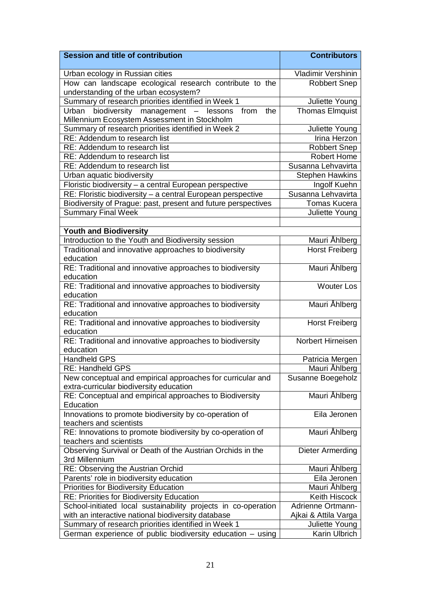| <b>Session and title of contribution</b>                                                               | <b>Contributors</b>     |
|--------------------------------------------------------------------------------------------------------|-------------------------|
| Urban ecology in Russian cities                                                                        | Vladimir Vershinin      |
| How can landscape ecological research contribute to the<br>understanding of the urban ecosystem?       | <b>Robbert Snep</b>     |
| Summary of research priorities identified in Week 1                                                    | Juliette Young          |
| biodiversity management - lessons from<br>the<br>Urban<br>Millennium Ecosystem Assessment in Stockholm | Thomas Elmquist         |
| Summary of research priorities identified in Week 2                                                    | Juliette Young          |
| RE: Addendum to research list                                                                          | Irina Herzon            |
| RE: Addendum to research list                                                                          | <b>Robbert Snep</b>     |
| RE: Addendum to research list                                                                          | <b>Robert Home</b>      |
| RE: Addendum to research list                                                                          | Susanna Lehvavirta      |
| Urban aquatic biodiversity                                                                             | <b>Stephen Hawkins</b>  |
| Floristic biodiversity - a central European perspective                                                | Ingolf Kuehn            |
| RE: Floristic biodiversity - a central European perspective                                            | Susanna Lehvavirta      |
| Biodiversity of Prague: past, present and future perspectives                                          | <b>Tomas Kucera</b>     |
| <b>Summary Final Week</b>                                                                              | Juliette Young          |
|                                                                                                        |                         |
| <b>Youth and Biodiversity</b>                                                                          |                         |
| Introduction to the Youth and Biodiversity session                                                     | Mauri Åhlberg           |
| Traditional and innovative approaches to biodiversity<br>education                                     | <b>Horst Freiberg</b>   |
| RE: Traditional and innovative approaches to biodiversity<br>education                                 | Mauri Åhlberg           |
| RE: Traditional and innovative approaches to biodiversity                                              | <b>Wouter Los</b>       |
| education                                                                                              |                         |
| RE: Traditional and innovative approaches to biodiversity<br>education                                 | Mauri Åhlberg           |
| RE: Traditional and innovative approaches to biodiversity<br>education                                 | <b>Horst Freiberg</b>   |
| RE: Traditional and innovative approaches to biodiversity<br>education                                 | Norbert Hirneisen       |
| <b>Handheld GPS</b>                                                                                    | Patricia Mergen         |
| RE: Handheld GPS                                                                                       | Mauri Åhlberg           |
| New conceptual and empirical approaches for curricular and<br>extra-curricular biodiversity education  | Susanne Boegeholz       |
| RE: Conceptual and empirical approaches to Biodiversity<br>Education                                   | Mauri Åhlberg           |
| Innovations to promote biodiversity by co-operation of<br>teachers and scientists                      | Eila Jeronen            |
| RE: Innovations to promote biodiversity by co-operation of<br>teachers and scientists                  | Mauri Ahlberg           |
| Observing Survival or Death of the Austrian Orchids in the                                             | <b>Dieter Armerding</b> |
| 3rd Millennium                                                                                         |                         |
| RE: Observing the Austrian Orchid                                                                      | Mauri Åhlberg           |
| Parents' role in biodiversity education                                                                | Eila Jeronen            |
| <b>Priorities for Biodiversity Education</b>                                                           | Mauri Ahlberg           |
| RE: Priorities for Biodiversity Education                                                              | Keith Hiscock           |
| School-initiated local sustainability projects in co-operation                                         | Adrienne Ortmann-       |
| with an interactive national biodiversity database                                                     | Ajkai & Attila Varga    |
| Summary of research priorities identified in Week 1                                                    | Juliette Young          |
| German experience of public biodiversity education - using                                             | Karin Ulbrich           |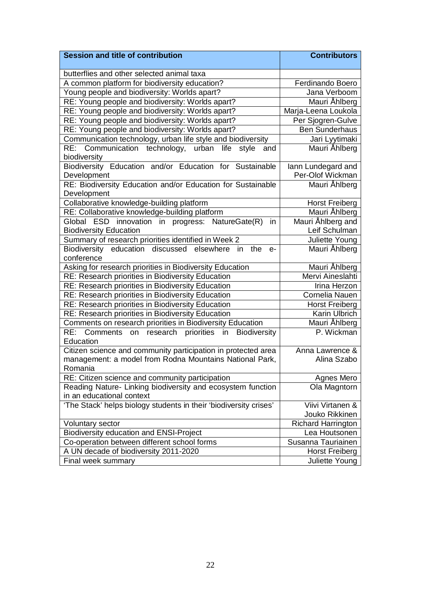| <b>Session and title of contribution</b>                                                                      | <b>Contributors</b>       |
|---------------------------------------------------------------------------------------------------------------|---------------------------|
| butterflies and other selected animal taxa                                                                    |                           |
| A common platform for biodiversity education?                                                                 | <b>Ferdinando Boero</b>   |
| Young people and biodiversity: Worlds apart?                                                                  | Jana Verboom              |
| RE: Young people and biodiversity: Worlds apart?                                                              | Mauri Ahlberg             |
| RE: Young people and biodiversity: Worlds apart?                                                              | Marja-Leena Loukola       |
| RE: Young people and biodiversity: Worlds apart?                                                              | Per Sjogren-Gulve         |
| RE: Young people and biodiversity: Worlds apart?                                                              | <b>Ben Sunderhaus</b>     |
| Communication technology, urban life style and biodiversity                                                   | Jari Lyytimaki            |
| RE: Communication technology, urban life<br>style<br>and                                                      | Mauri Åhlberg             |
| biodiversity                                                                                                  |                           |
| Biodiversity Education and/or Education for Sustainable                                                       | lann Lundegard and        |
| Development                                                                                                   | Per-Olof Wickman          |
| RE: Biodiversity Education and/or Education for Sustainable                                                   | Mauri Åhlberg             |
| Development                                                                                                   |                           |
| Collaborative knowledge-building platform                                                                     | <b>Horst Freiberg</b>     |
| RE: Collaborative knowledge-building platform                                                                 | Mauri Åhlberg             |
| Global ESD innovation in progress: NatureGate(R)<br>in                                                        | Mauri Åhlberg and         |
| <b>Biodiversity Education</b>                                                                                 | Leif Schulman             |
| Summary of research priorities identified in Week 2                                                           | Juliette Young            |
| Biodiversity education discussed<br>elsewhere<br>the<br>in<br>e-<br>conference                                | Mauri Åhlberg             |
|                                                                                                               | Mauri Åhlberg             |
| Asking for research priorities in Biodiversity Education<br>RE: Research priorities in Biodiversity Education | Mervi Aineslahti          |
| RE: Research priorities in Biodiversity Education                                                             | Irina Herzon              |
| RE: Research priorities in Biodiversity Education                                                             | Cornelia Nauen            |
| <b>RE: Research priorities in Biodiversity Education</b>                                                      | <b>Horst Freiberg</b>     |
| RE: Research priorities in Biodiversity Education                                                             | Karin Ulbrich             |
| Comments on research priorities in Biodiversity Education                                                     | Mauri Åhlberg             |
| on research priorities in Biodiversity<br>RE: Comments                                                        | P. Wickman                |
| Education                                                                                                     |                           |
| Citizen science and community participation in protected area                                                 | Anna Lawrence &           |
| management: a model from Rodna Mountains National Park,                                                       | Alina Szabo               |
| Romania                                                                                                       |                           |
| RE: Citizen science and community participation                                                               | Agnes Mero                |
| Reading Nature- Linking biodiversity and ecosystem function                                                   | Ola Magntorn              |
| in an educational context                                                                                     |                           |
| 'The Stack' helps biology students in their 'biodiversity crises'                                             | Viivi Virtanen &          |
|                                                                                                               | Jouko Rikkinen            |
| Voluntary sector                                                                                              | <b>Richard Harrington</b> |
| <b>Biodiversity education and ENSI-Project</b>                                                                | Lea Houtsonen             |
| Co-operation between different school forms                                                                   | Susanna Tauriainen        |
| A UN decade of biodiversity 2011-2020                                                                         | <b>Horst Freiberg</b>     |
| Final week summary                                                                                            | Juliette Young            |